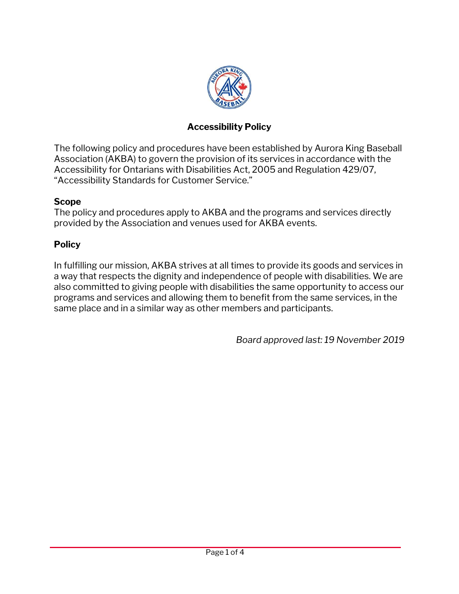

### **Accessibility Policy**

The following policy and procedures have been established by Aurora King Baseball Association (AKBA) to govern the provision of its services in accordance with the Accessibility for Ontarians with Disabilities Act, 2005 and Regulation 429/07, "Accessibility Standards for Customer Service."

#### **Scope**

The policy and procedures apply to AKBA and the programs and services directly provided by the Association and venues used for AKBA events.

### **Policy**

In fulfilling our mission, AKBA strives at all times to provide its goods and services in a way that respects the dignity and independence of people with disabilities. We are also committed to giving people with disabilities the same opportunity to access our programs and services and allowing them to benefit from the same services, in the same place and in a similar way as other members and participants.

*Board approved last: 19 November 2019*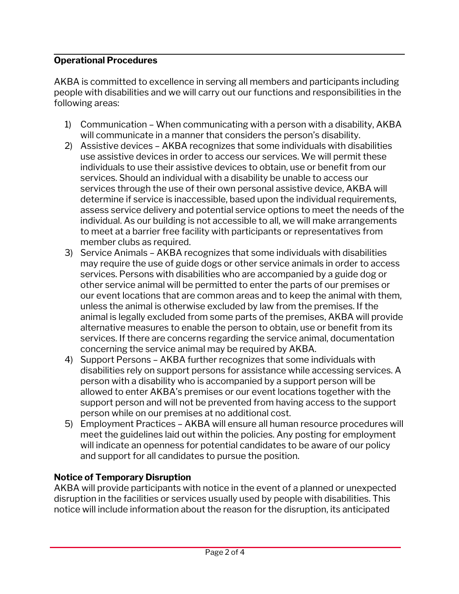### **Operational Procedures**

AKBA is committed to excellence in serving all members and participants including people with disabilities and we will carry out our functions and responsibilities in the following areas:

- 1) Communication When communicating with a person with a disability, AKBA will communicate in a manner that considers the person's disability.
- 2) Assistive devices AKBA recognizes that some individuals with disabilities use assistive devices in order to access our services. We will permit these individuals to use their assistive devices to obtain, use or benefit from our services. Should an individual with a disability be unable to access our services through the use of their own personal assistive device, AKBA will determine if service is inaccessible, based upon the individual requirements, assess service delivery and potential service options to meet the needs of the individual. As our building is not accessible to all, we will make arrangements to meet at a barrier free facility with participants or representatives from member clubs as required.
- 3) Service Animals AKBA recognizes that some individuals with disabilities may require the use of guide dogs or other service animals in order to access services. Persons with disabilities who are accompanied by a guide dog or other service animal will be permitted to enter the parts of our premises or our event locations that are common areas and to keep the animal with them, unless the animal is otherwise excluded by law from the premises. If the animal is legally excluded from some parts of the premises, AKBA will provide alternative measures to enable the person to obtain, use or benefit from its services. If there are concerns regarding the service animal, documentation concerning the service animal may be required by AKBA.
- 4) Support Persons AKBA further recognizes that some individuals with disabilities rely on support persons for assistance while accessing services. A person with a disability who is accompanied by a support person will be allowed to enter AKBA's premises or our event locations together with the support person and will not be prevented from having access to the support person while on our premises at no additional cost.
- 5) Employment Practices AKBA will ensure all human resource procedures will meet the guidelines laid out within the policies. Any posting for employment will indicate an openness for potential candidates to be aware of our policy and support for all candidates to pursue the position.

#### **Notice of Temporary Disruption**

AKBA will provide participants with notice in the event of a planned or unexpected disruption in the facilities or services usually used by people with disabilities. This notice will include information about the reason for the disruption, its anticipated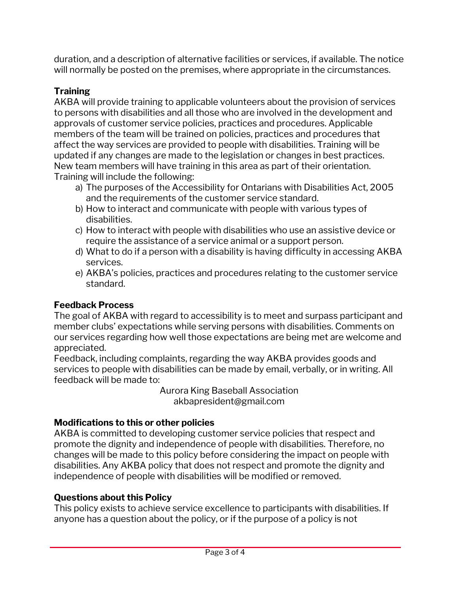duration, and a description of alternative facilities or services, if available. The notice will normally be posted on the premises, where appropriate in the circumstances.

# **Training**

AKBA will provide training to applicable volunteers about the provision of services to persons with disabilities and all those who are involved in the development and approvals of customer service policies, practices and procedures. Applicable members of the team will be trained on policies, practices and procedures that affect the way services are provided to people with disabilities. Training will be updated if any changes are made to the legislation or changes in best practices. New team members will have training in this area as part of their orientation. Training will include the following:

- a) The purposes of the Accessibility for Ontarians with Disabilities Act, 2005 and the requirements of the customer service standard.
- b) How to interact and communicate with people with various types of disabilities.
- c) How to interact with people with disabilities who use an assistive device or require the assistance of a service animal or a support person.
- d) What to do if a person with a disability is having difficulty in accessing AKBA services.
- e) AKBA's policies, practices and procedures relating to the customer service standard.

# **Feedback Process**

The goal of AKBA with regard to accessibility is to meet and surpass participant and member clubs' expectations while serving persons with disabilities. Comments on our services regarding how well those expectations are being met are welcome and appreciated.

Feedback, including complaints, regarding the way AKBA provides goods and services to people with disabilities can be made by email, verbally, or in writing. All feedback will be made to:

Aurora King Baseball Association akbapresident@gmail.com

# **Modifications to this or other policies**

AKBA is committed to developing customer service policies that respect and promote the dignity and independence of people with disabilities. Therefore, no changes will be made to this policy before considering the impact on people with disabilities. Any AKBA policy that does not respect and promote the dignity and independence of people with disabilities will be modified or removed.

### **Questions about this Policy**

This policy exists to achieve service excellence to participants with disabilities. If anyone has a question about the policy, or if the purpose of a policy is not